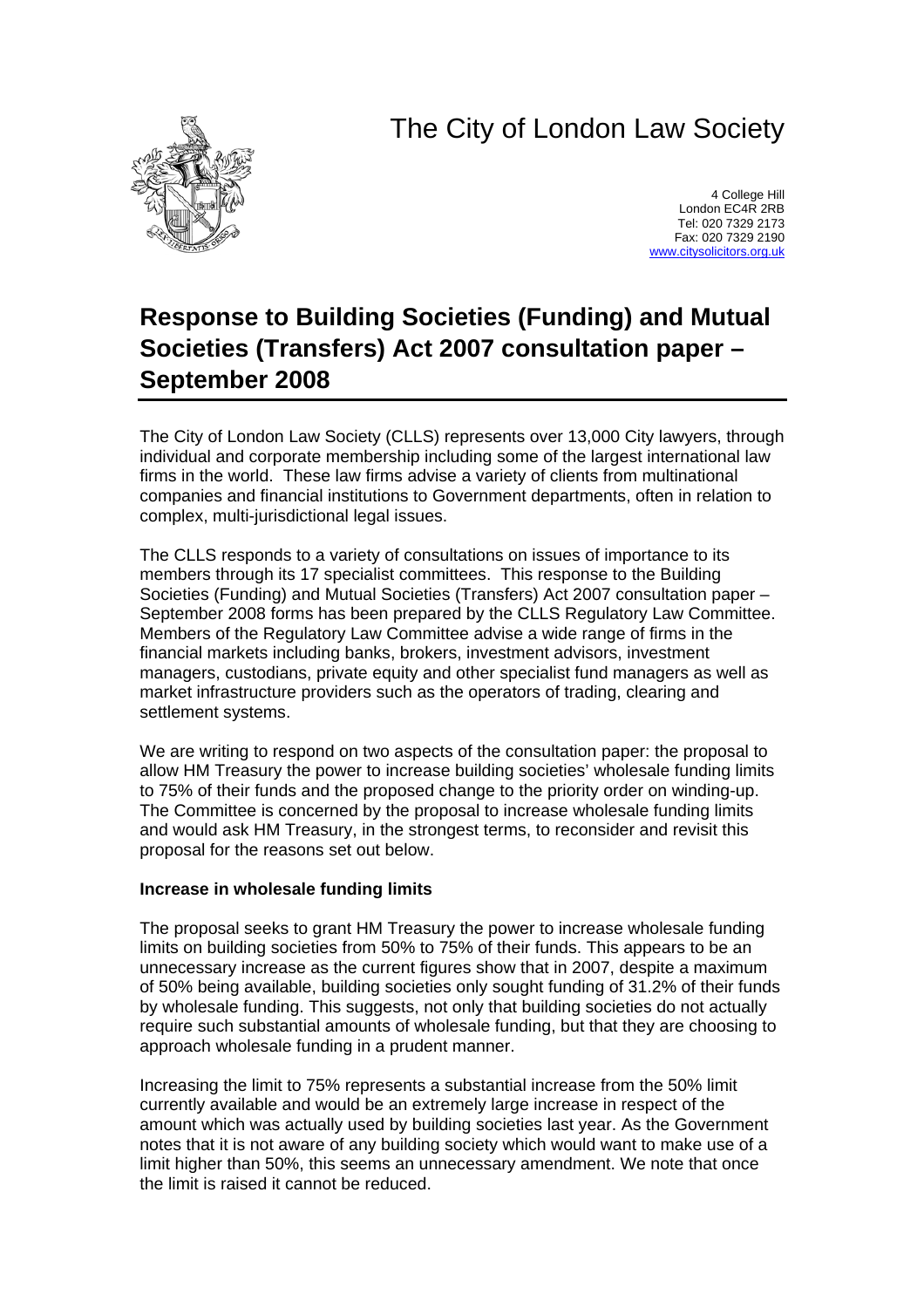# The City of London Law Society



4 College Hill London EC4R 2RB Tel: 020 7329 2173 Fax: 020 7329 2190 [www.citysolicitors.org.uk](http://www.citysolicitors.org.uk/)

# **Response to Building Societies (Funding) and Mutual Societies (Transfers) Act 2007 consultation paper – September 2008**

The City of London Law Society (CLLS) represents over 13,000 City lawyers, through individual and corporate membership including some of the largest international law firms in the world. These law firms advise a variety of clients from multinational companies and financial institutions to Government departments, often in relation to complex, multi-jurisdictional legal issues.

The CLLS responds to a variety of consultations on issues of importance to its members through its 17 specialist committees. This response to the Building Societies (Funding) and Mutual Societies (Transfers) Act 2007 consultation paper – September 2008 forms has been prepared by the CLLS Regulatory Law Committee. Members of the Regulatory Law Committee advise a wide range of firms in the financial markets including banks, brokers, investment advisors, investment managers, custodians, private equity and other specialist fund managers as well as market infrastructure providers such as the operators of trading, clearing and settlement systems.

We are writing to respond on two aspects of the consultation paper: the proposal to allow HM Treasury the power to increase building societies' wholesale funding limits to 75% of their funds and the proposed change to the priority order on winding-up. The Committee is concerned by the proposal to increase wholesale funding limits and would ask HM Treasury, in the strongest terms, to reconsider and revisit this proposal for the reasons set out below.

#### **Increase in wholesale funding limits**

The proposal seeks to grant HM Treasury the power to increase wholesale funding limits on building societies from 50% to 75% of their funds. This appears to be an unnecessary increase as the current figures show that in 2007, despite a maximum of 50% being available, building societies only sought funding of 31.2% of their funds by wholesale funding. This suggests, not only that building societies do not actually require such substantial amounts of wholesale funding, but that they are choosing to approach wholesale funding in a prudent manner.

Increasing the limit to 75% represents a substantial increase from the 50% limit currently available and would be an extremely large increase in respect of the amount which was actually used by building societies last year. As the Government notes that it is not aware of any building society which would want to make use of a limit higher than 50%, this seems an unnecessary amendment. We note that once the limit is raised it cannot be reduced.